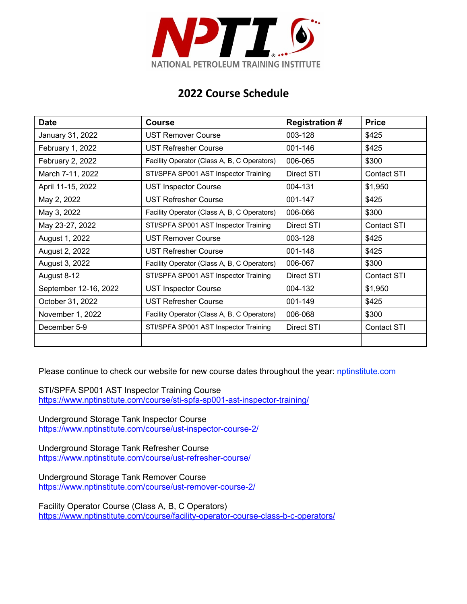

## **2022 Course Schedule**

| <b>Date</b>           | <b>Course</b>                               | <b>Registration #</b> | <b>Price</b>       |
|-----------------------|---------------------------------------------|-----------------------|--------------------|
| January 31, 2022      | <b>UST Remover Course</b>                   | 003-128               | \$425              |
| February 1, 2022      | <b>UST Refresher Course</b>                 | 001-146               | \$425              |
| February 2, 2022      | Facility Operator (Class A, B, C Operators) | 006-065               | \$300              |
| March 7-11, 2022      | STI/SPFA SP001 AST Inspector Training       | Direct STI            | <b>Contact STI</b> |
| April 11-15, 2022     | <b>UST Inspector Course</b>                 | 004-131               | \$1,950            |
| May 2, 2022           | <b>UST Refresher Course</b>                 | 001-147               | \$425              |
| May 3, 2022           | Facility Operator (Class A, B, C Operators) | 006-066               | \$300              |
| May 23-27, 2022       | STI/SPFA SP001 AST Inspector Training       | Direct STI            | Contact STI        |
| August 1, 2022        | <b>UST Remover Course</b>                   | 003-128               | \$425              |
| August 2, 2022        | <b>UST Refresher Course</b>                 | 001-148               | \$425              |
| August 3, 2022        | Facility Operator (Class A, B, C Operators) | 006-067               | \$300              |
| August 8-12           | STI/SPFA SP001 AST Inspector Training       | Direct STI            | <b>Contact STI</b> |
| September 12-16, 2022 | <b>UST Inspector Course</b>                 | 004-132               | \$1,950            |
| October 31, 2022      | <b>UST Refresher Course</b>                 | 001-149               | \$425              |
| November 1, 2022      | Facility Operator (Class A, B, C Operators) | 006-068               | \$300              |
| December 5-9          | STI/SPFA SP001 AST Inspector Training       | Direct STI            | <b>Contact STI</b> |
|                       |                                             |                       |                    |

Please continue to check our website for new course dates throughout the year: nptinstitute.com

STI/SPFA SP001 AST Inspector Training Course https://www.nptinstitute.com/course/sti-spfa-sp001-ast-inspector-training/

Underground Storage Tank Inspector Course https://www.nptinstitute.com/course/ust-inspector-course-2/

Underground Storage Tank Refresher Course https://www.nptinstitute.com/course/ust-refresher-course/

Underground Storage Tank Remover Course https://www.nptinstitute.com/course/ust-remover-course-2/

Facility Operator Course (Class A, B, C Operators) https://www.nptinstitute.com/course/facility-operator-course-class-b-c-operators/